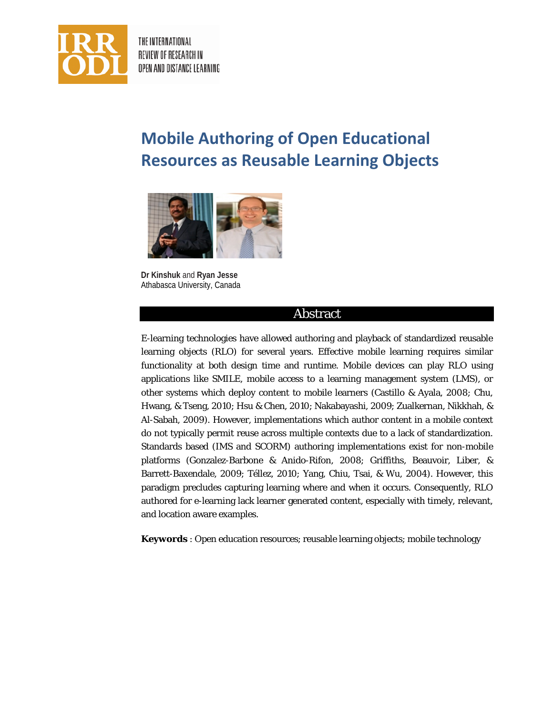

THE INTERNATIONAL REVIEW OF RESEARCH IN OPEN AND DISTANCE LEARNING

# **Mobile Authoring of Open Educational Resources as Reusable Learning Objects**



**Dr Kinshuk** and **Ryan Jesse** Athabasca University, Canada

#### Abstract

E-learning technologies have allowed authoring and playback of standardized reusable learning objects (RLO) for several years. Effective mobile learning requires similar functionality at both design time and runtime. Mobile devices can play RLO using applications like SMILE, mobile access to a learning management system (LMS), or other systems which deploy content to mobile learners (Castillo & Ayala, 2008; Chu, Hwang, & Tseng, 2010; Hsu & Chen, 2010; Nakabayashi, 2009; Zualkernan, Nikkhah, & Al-Sabah, 2009). However, implementations which author content in a mobile context do not typically permit reuse across multiple contexts due to a lack of standardization. Standards based (IMS and SCORM) authoring implementations exist for non-mobile platforms (Gonzalez-Barbone & Anido-Rifon, 2008; Griffiths, Beauvoir, Liber, & Barrett-Baxendale, 2009; Téllez, 2010; Yang, Chiu, Tsai, & Wu, 2004). However, this paradigm precludes capturing learning where and when it occurs. Consequently, RLO authored for e-learning lack learner generated content, especially with timely, relevant, and location aware examples.

**Keywords** : Open education resources; reusable learning objects; mobile technology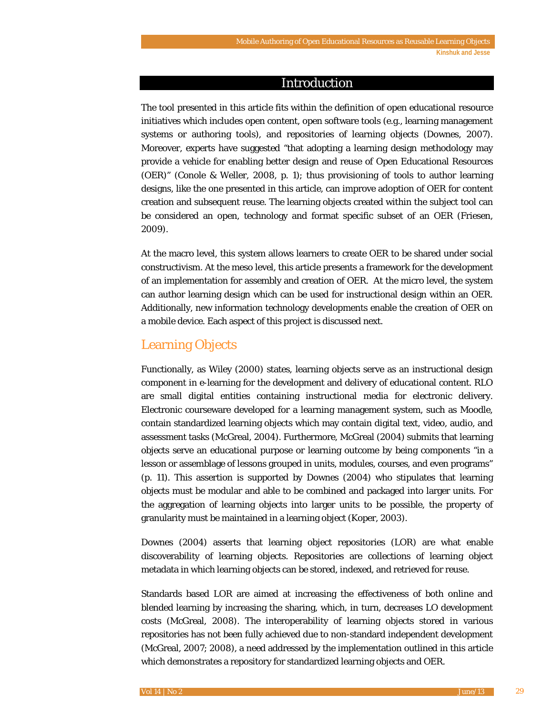#### Introduction

The tool presented in this article fits within the definition of open educational resource initiatives which includes open content, open software tools (e.g., learning management systems or authoring tools), and repositories of learning objects (Downes, 2007). Moreover, experts have suggested "that adopting a learning design methodology may provide a vehicle for enabling better design and reuse of Open Educational Resources (OER)" (Conole & Weller, 2008, p. 1); thus provisioning of tools to author learning designs, like the one presented in this article, can improve adoption of OER for content creation and subsequent reuse. The learning objects created within the subject tool can be considered an open, technology and format specific subset of an OER (Friesen, 2009).

At the macro level, this system allows learners to create OER to be shared under social constructivism. At the meso level, this article presents a framework for the development of an implementation for assembly and creation of OER. At the micro level, the system can author learning design which can be used for instructional design within an OER. Additionally, new information technology developments enable the creation of OER on a mobile device. Each aspect of this project is discussed next.

## Learning Objects

Functionally, as Wiley (2000) states, learning objects serve as an instructional design component in e-learning for the development and delivery of educational content. RLO are small digital entities containing instructional media for electronic delivery. Electronic courseware developed for a learning management system, such as Moodle, contain standardized learning objects which may contain digital text, video, audio, and assessment tasks (McGreal, 2004). Furthermore, McGreal (2004) submits that learning objects serve an educational purpose or learning outcome by being components "in a lesson or assemblage of lessons grouped in units, modules, courses, and even programs" (p. 11). This assertion is supported by Downes (2004) who stipulates that learning objects must be modular and able to be combined and packaged into larger units. For the aggregation of learning objects into larger units to be possible, the property of granularity must be maintained in a learning object (Koper, 2003).

Downes (2004) asserts that learning object repositories (LOR) are what enable discoverability of learning objects. Repositories are collections of learning object metadata in which learning objects can be stored, indexed, and retrieved for reuse.

Standards based LOR are aimed at increasing the effectiveness of both online and blended learning by increasing the sharing, which, in turn, decreases LO development costs (McGreal, 2008). The interoperability of learning objects stored in various repositories has not been fully achieved due to non-standard independent development (McGreal, 2007; 2008), a need addressed by the implementation outlined in this article which demonstrates a repository for standardized learning objects and OER.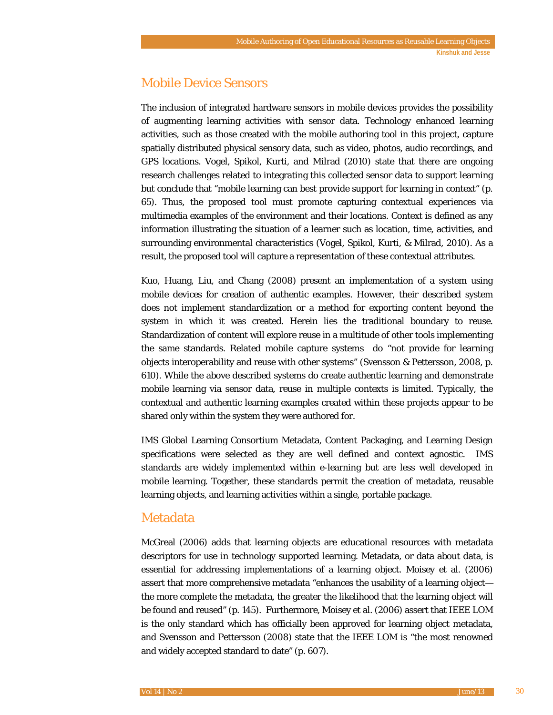## Mobile Device Sensors

The inclusion of integrated hardware sensors in mobile devices provides the possibility of augmenting learning activities with sensor data. Technology enhanced learning activities, such as those created with the mobile authoring tool in this project, capture spatially distributed physical sensory data, such as video, photos, audio recordings, and GPS locations. Vogel, Spikol, Kurti, and Milrad (2010) state that there are ongoing research challenges related to integrating this collected sensor data to support learning but conclude that "mobile learning can best provide support for learning in context" (p. 65). Thus, the proposed tool must promote capturing contextual experiences via multimedia examples of the environment and their locations. Context is defined as any information illustrating the situation of a learner such as location, time, activities, and surrounding environmental characteristics (Vogel, Spikol, Kurti, & Milrad, 2010). As a result, the proposed tool will capture a representation of these contextual attributes.

Kuo, Huang, Liu, and Chang (2008) present an implementation of a system using mobile devices for creation of authentic examples. However, their described system does not implement standardization or a method for exporting content beyond the system in which it was created. Herein lies the traditional boundary to reuse. Standardization of content will explore reuse in a multitude of other tools implementing the same standards. Related mobile capture systems do "not provide for learning objects interoperability and reuse with other systems" (Svensson & Pettersson, 2008, p. 610). While the above described systems do create authentic learning and demonstrate mobile learning via sensor data, reuse in multiple contexts is limited. Typically, the contextual and authentic learning examples created within these projects appear to be shared only within the system they were authored for.

IMS Global Learning Consortium Metadata, Content Packaging, and Learning Design specifications were selected as they are well defined and context agnostic. IMS standards are widely implemented within e-learning but are less well developed in mobile learning. Together, these standards permit the creation of metadata, reusable learning objects, and learning activities within a single, portable package.

## Metadata

McGreal (2006) adds that learning objects are educational resources with metadata descriptors for use in technology supported learning. Metadata, or data about data, is essential for addressing implementations of a learning object. Moisey et al. (2006) assert that more comprehensive metadata "enhances the usability of a learning object the more complete the metadata, the greater the likelihood that the learning object will be found and reused" (p. 145). Furthermore, Moisey et al. (2006) assert that IEEE LOM is the only standard which has officially been approved for learning object metadata, and Svensson and Pettersson (2008) state that the IEEE LOM is "the most renowned and widely accepted standard to date" (p. 607).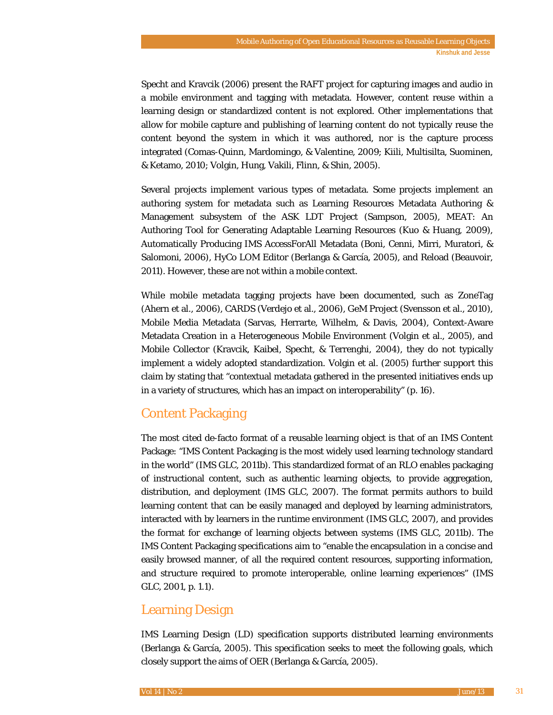Specht and Kravcik (2006) present the RAFT project for capturing images and audio in a mobile environment and tagging with metadata. However, content reuse within a learning design or standardized content is not explored. Other implementations that allow for mobile capture and publishing of learning content do not typically reuse the content beyond the system in which it was authored, nor is the capture process integrated (Comas-Quinn, Mardomingo, & Valentine, 2009; Kiili, Multisilta, Suominen, & Ketamo, 2010; Volgin, Hung, Vakili, Flinn, & Shin, 2005).

Several projects implement various types of metadata. Some projects implement an authoring system for metadata such as Learning Resources Metadata Authoring & Management subsystem of the ASK LDT Project (Sampson, 2005), MEAT: An Authoring Tool for Generating Adaptable Learning Resources (Kuo & Huang, 2009), Automatically Producing IMS AccessForAll Metadata (Boni, Cenni, Mirri, Muratori, & Salomoni, 2006), HyCo LOM Editor (Berlanga & García, 2005), and Reload (Beauvoir, 2011). However, these are not within a mobile context.

While mobile metadata tagging projects have been documented, such as ZoneTag (Ahern et al., 2006), CARDS (Verdejo et al., 2006), GeM Project (Svensson et al., 2010), Mobile Media Metadata (Sarvas, Herrarte, Wilhelm, & Davis, 2004), Context-Aware Metadata Creation in a Heterogeneous Mobile Environment (Volgin et al., 2005), and Mobile Collector (Kravcik, Kaibel, Specht, & Terrenghi, 2004), they do not typically implement a widely adopted standardization. Volgin et al. (2005) further support this claim by stating that "contextual metadata gathered in the presented initiatives ends up in a variety of structures, which has an impact on interoperability" (p. 16).

# Content Packaging

The most cited de-facto format of a reusable learning object is that of an IMS Content Package: "IMS Content Packaging is the most widely used learning technology standard in the world" (IMS GLC, 2011b). This standardized format of an RLO enables packaging of instructional content, such as authentic learning objects, to provide aggregation, distribution, and deployment (IMS GLC, 2007). The format permits authors to build learning content that can be easily managed and deployed by learning administrators, interacted with by learners in the runtime environment (IMS GLC, 2007), and provides the format for exchange of learning objects between systems (IMS GLC, 2011b). The IMS Content Packaging specifications aim to "enable the encapsulation in a concise and easily browsed manner, of all the required content resources, supporting information, and structure required to promote interoperable, online learning experiences" (IMS GLC, 2001, p. 1.1).

# Learning Design

IMS Learning Design (LD) specification supports distributed learning environments (Berlanga & García, 2005). This specification seeks to meet the following goals, which closely support the aims of OER (Berlanga & García, 2005).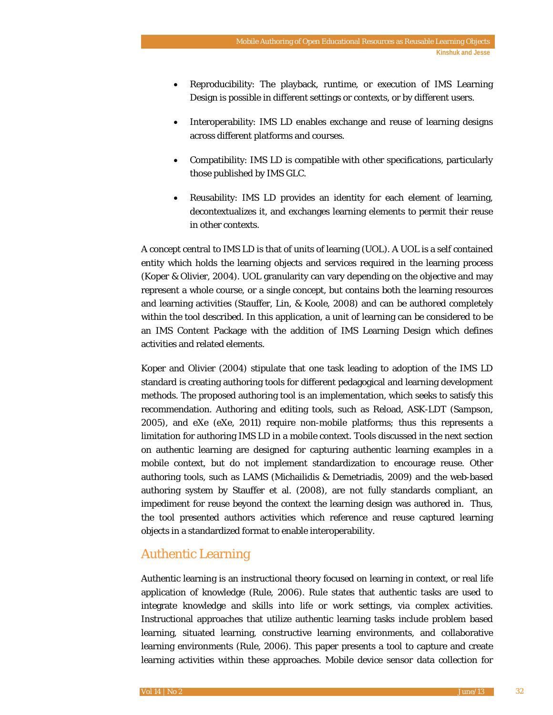- Reproducibility: The playback, runtime, or execution of IMS Learning Design is possible in different settings or contexts, or by different users.
- Interoperability: IMS LD enables exchange and reuse of learning designs across different platforms and courses.
- Compatibility: IMS LD is compatible with other specifications, particularly those published by IMS GLC.
- Reusability: IMS LD provides an identity for each element of learning, decontextualizes it, and exchanges learning elements to permit their reuse in other contexts.

A concept central to IMS LD is that of units of learning (UOL). A UOL is a self contained entity which holds the learning objects and services required in the learning process (Koper & Olivier, 2004). UOL granularity can vary depending on the objective and may represent a whole course, or a single concept, but contains both the learning resources and learning activities (Stauffer, Lin, & Koole, 2008) and can be authored completely within the tool described. In this application, a unit of learning can be considered to be an IMS Content Package with the addition of IMS Learning Design which defines activities and related elements.

Koper and Olivier (2004) stipulate that one task leading to adoption of the IMS LD standard is creating authoring tools for different pedagogical and learning development methods. The proposed authoring tool is an implementation, which seeks to satisfy this recommendation. Authoring and editing tools, such as Reload, ASK-LDT (Sampson, 2005), and eXe (eXe, 2011) require non-mobile platforms; thus this represents a limitation for authoring IMS LD in a mobile context. Tools discussed in the next section on authentic learning are designed for capturing authentic learning examples in a mobile context, but do not implement standardization to encourage reuse. Other authoring tools, such as LAMS (Michailidis & Demetriadis, 2009) and the web-based authoring system by Stauffer et al. (2008), are not fully standards compliant, an impediment for reuse beyond the context the learning design was authored in. Thus, the tool presented authors activities which reference and reuse captured learning objects in a standardized format to enable interoperability.

## Authentic Learning

Authentic learning is an instructional theory focused on learning in context, or real life application of knowledge (Rule, 2006). Rule states that authentic tasks are used to integrate knowledge and skills into life or work settings, via complex activities. Instructional approaches that utilize authentic learning tasks include problem based learning, situated learning, constructive learning environments, and collaborative learning environments (Rule, 2006). This paper presents a tool to capture and create learning activities within these approaches. Mobile device sensor data collection for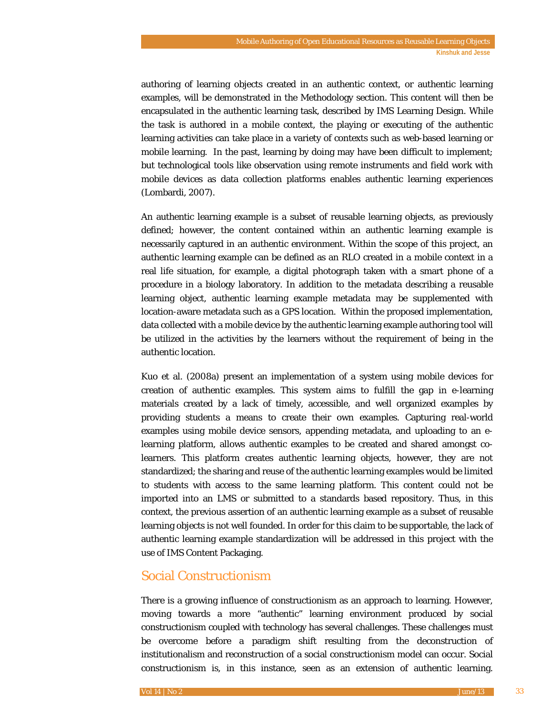authoring of learning objects created in an authentic context, or authentic learning examples, will be demonstrated in the Methodology section. This content will then be encapsulated in the authentic learning task, described by IMS Learning Design. While the task is authored in a mobile context, the playing or executing of the authentic learning activities can take place in a variety of contexts such as web-based learning or mobile learning. In the past, learning by doing may have been difficult to implement; but technological tools like observation using remote instruments and field work with mobile devices as data collection platforms enables authentic learning experiences (Lombardi, 2007).

An authentic learning example is a subset of reusable learning objects, as previously defined; however, the content contained within an authentic learning example is necessarily captured in an authentic environment. Within the scope of this project, an authentic learning example can be defined as an RLO created in a mobile context in a real life situation, for example, a digital photograph taken with a smart phone of a procedure in a biology laboratory. In addition to the metadata describing a reusable learning object, authentic learning example metadata may be supplemented with location-aware metadata such as a GPS location. Within the proposed implementation, data collected with a mobile device by the authentic learning example authoring tool will be utilized in the activities by the learners without the requirement of being in the authentic location.

Kuo et al. (2008a) present an implementation of a system using mobile devices for creation of authentic examples. This system aims to fulfill the gap in e-learning materials created by a lack of timely, accessible, and well organized examples by providing students a means to create their own examples. Capturing real-world examples using mobile device sensors, appending metadata, and uploading to an elearning platform, allows authentic examples to be created and shared amongst colearners. This platform creates authentic learning objects, however, they are not standardized; the sharing and reuse of the authentic learning examples would be limited to students with access to the same learning platform. This content could not be imported into an LMS or submitted to a standards based repository. Thus, in this context, the previous assertion of an authentic learning example as a subset of reusable learning objects is not well founded. In order for this claim to be supportable, the lack of authentic learning example standardization will be addressed in this project with the use of IMS Content Packaging.

## Social Constructionism

There is a growing influence of constructionism as an approach to learning. However, moving towards a more "authentic" learning environment produced by social constructionism coupled with technology has several challenges. These challenges must be overcome before a paradigm shift resulting from the deconstruction of institutionalism and reconstruction of a social constructionism model can occur. Social constructionism is, in this instance, seen as an extension of authentic learning.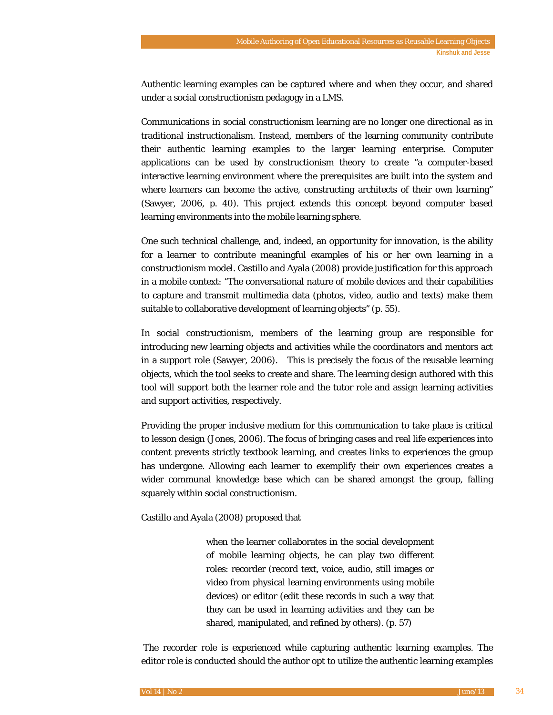Authentic learning examples can be captured where and when they occur, and shared under a social constructionism pedagogy in a LMS.

Communications in social constructionism learning are no longer one directional as in traditional instructionalism. Instead, members of the learning community contribute their authentic learning examples to the larger learning enterprise. Computer applications can be used by constructionism theory to create "a computer-based interactive learning environment where the prerequisites are built into the system and where learners can become the active, constructing architects of their own learning" (Sawyer, 2006, p. 40). This project extends this concept beyond computer based learning environments into the mobile learning sphere.

One such technical challenge, and, indeed, an opportunity for innovation, is the ability for a learner to contribute meaningful examples of his or her own learning in a constructionism model. Castillo and Ayala (2008) provide justification for this approach in a mobile context: "The conversational nature of mobile devices and their capabilities to capture and transmit multimedia data (photos, video, audio and texts) make them suitable to collaborative development of learning objects" (p. 55).

In social constructionism, members of the learning group are responsible for introducing new learning objects and activities while the coordinators and mentors act in a support role (Sawyer, 2006). This is precisely the focus of the reusable learning objects, which the tool seeks to create and share. The learning design authored with this tool will support both the learner role and the tutor role and assign learning activities and support activities, respectively.

Providing the proper inclusive medium for this communication to take place is critical to lesson design (Jones, 2006). The focus of bringing cases and real life experiences into content prevents strictly textbook learning, and creates links to experiences the group has undergone. Allowing each learner to exemplify their own experiences creates a wider communal knowledge base which can be shared amongst the group, falling squarely within social constructionism.

Castillo and Ayala (2008) proposed that

when the learner collaborates in the social development of mobile learning objects, he can play two different roles: recorder (record text, voice, audio, still images or video from physical learning environments using mobile devices) or editor (edit these records in such a way that they can be used in learning activities and they can be shared, manipulated, and refined by others). (p. 57)

The recorder role is experienced while capturing authentic learning examples. The editor role is conducted should the author opt to utilize the authentic learning examples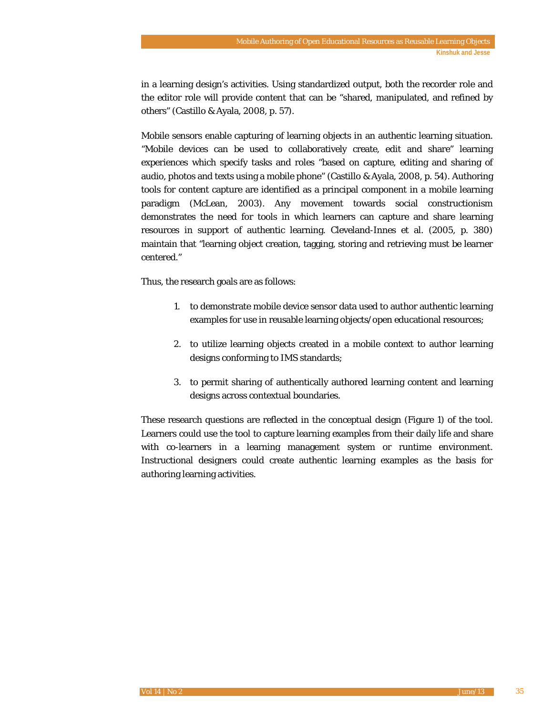in a learning design's activities. Using standardized output, both the recorder role and the editor role will provide content that can be "shared, manipulated, and refined by others" (Castillo & Ayala, 2008, p. 57).

Mobile sensors enable capturing of learning objects in an authentic learning situation. "Mobile devices can be used to collaboratively create, edit and share" learning experiences which specify tasks and roles "based on capture, editing and sharing of audio, photos and texts using a mobile phone" (Castillo & Ayala, 2008, p. 54). Authoring tools for content capture are identified as a principal component in a mobile learning paradigm (McLean, 2003). Any movement towards social constructionism demonstrates the need for tools in which learners can capture and share learning resources in support of authentic learning. Cleveland-Innes et al. (2005, p. 380) maintain that "learning object creation, tagging, storing and retrieving must be learner centered."

Thus, the research goals are as follows:

- 1. to demonstrate mobile device sensor data used to author authentic learning examples for use in reusable learning objects/open educational resources;
- 2. to utilize learning objects created in a mobile context to author learning designs conforming to IMS standards;
- 3. to permit sharing of authentically authored learning content and learning designs across contextual boundaries.

These research questions are reflected in the conceptual design (Figure 1) of the tool. Learners could use the tool to capture learning examples from their daily life and share with co-learners in a learning management system or runtime environment. Instructional designers could create authentic learning examples as the basis for authoring learning activities.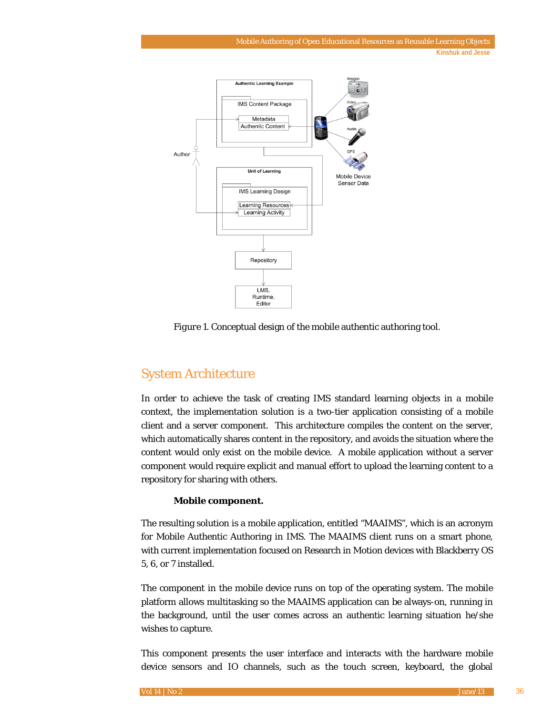

*Figure 1*. Conceptual design of the mobile authentic authoring tool.

# System Architecture

In order to achieve the task of creating IMS standard learning objects in a mobile context, the implementation solution is a two-tier application consisting of a mobile client and a server component. This architecture compiles the content on the server, which automatically shares content in the repository, and avoids the situation where the content would only exist on the mobile device. A mobile application without a server component would require explicit and manual effort to upload the learning content to a repository for sharing with others.

#### **Mobile component.**

The resulting solution is a mobile application, entitled "MAAIMS", which is an acronym for Mobile Authentic Authoring in IMS. The MAAIMS client runs on a smart phone, with current implementation focused on Research in Motion devices with Blackberry OS 5, 6, or 7 installed.

The component in the mobile device runs on top of the operating system. The mobile platform allows multitasking so the MAAIMS application can be always-on, running in the background, until the user comes across an authentic learning situation he/she wishes to capture.

This component presents the user interface and interacts with the hardware mobile device sensors and IO channels, such as the touch screen, keyboard, the global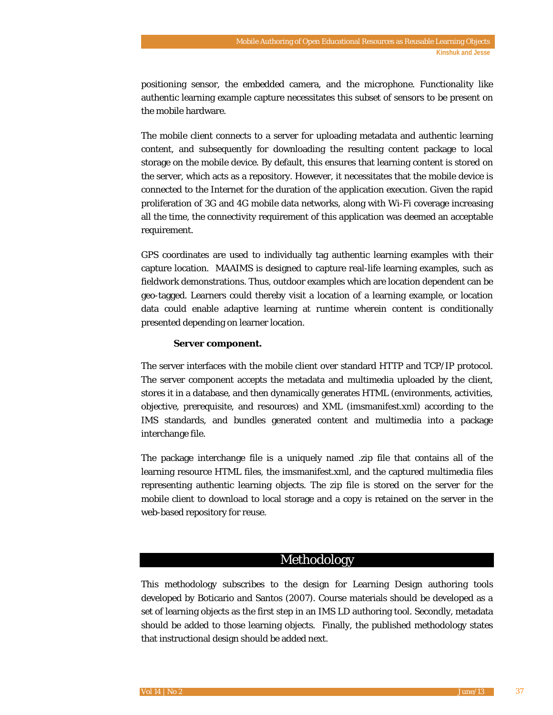positioning sensor, the embedded camera, and the microphone. Functionality like authentic learning example capture necessitates this subset of sensors to be present on the mobile hardware.

The mobile client connects to a server for uploading metadata and authentic learning content, and subsequently for downloading the resulting content package to local storage on the mobile device. By default, this ensures that learning content is stored on the server, which acts as a repository. However, it necessitates that the mobile device is connected to the Internet for the duration of the application execution. Given the rapid proliferation of 3G and 4G mobile data networks, along with Wi-Fi coverage increasing all the time, the connectivity requirement of this application was deemed an acceptable requirement.

GPS coordinates are used to individually tag authentic learning examples with their capture location. MAAIMS is designed to capture real-life learning examples, such as fieldwork demonstrations. Thus, outdoor examples which are location dependent can be geo-tagged. Learners could thereby visit a location of a learning example, or location data could enable adaptive learning at runtime wherein content is conditionally presented depending on learner location.

#### **Server component.**

The server interfaces with the mobile client over standard HTTP and TCP/IP protocol. The server component accepts the metadata and multimedia uploaded by the client, stores it in a database, and then dynamically generates HTML (environments, activities, objective, prerequisite, and resources) and XML (imsmanifest.xml) according to the IMS standards, and bundles generated content and multimedia into a package interchange file.

The package interchange file is a uniquely named .zip file that contains all of the learning resource HTML files, the imsmanifest.xml, and the captured multimedia files representing authentic learning objects. The zip file is stored on the server for the mobile client to download to local storage and a copy is retained on the server in the web-based repository for reuse.

#### Methodology

This methodology subscribes to the design for Learning Design authoring tools developed by Boticario and Santos (2007). Course materials should be developed as a set of learning objects as the first step in an IMS LD authoring tool. Secondly, metadata should be added to those learning objects. Finally, the published methodology states that instructional design should be added next.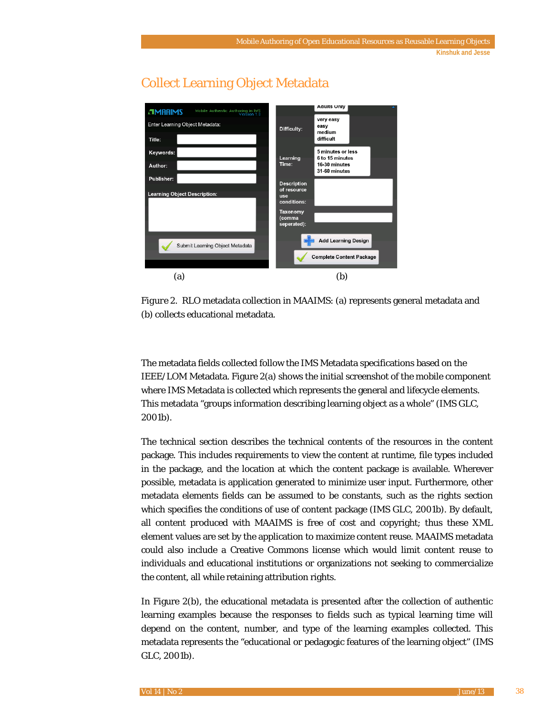

# Collect Learning Object Metadata

*Figure 2*. RLO metadata collection in MAAIMS: (a) represents general metadata and (b) collects educational metadata.

The metadata fields collected follow the IMS Metadata specifications based on the IEEE/LOM Metadata. Figure 2(a) shows the initial screenshot of the mobile component where IMS Metadata is collected which represents the general and lifecycle elements. This metadata "groups information describing learning object as a whole" (IMS GLC, 2001b).

The technical section describes the technical contents of the resources in the content package. This includes requirements to view the content at runtime, file types included in the package, and the location at which the content package is available. Wherever possible, metadata is application generated to minimize user input. Furthermore, other metadata elements fields can be assumed to be constants, such as the rights section which specifies the conditions of use of content package (IMS GLC, 2001b). By default, all content produced with MAAIMS is free of cost and copyright; thus these XML element values are set by the application to maximize content reuse. MAAIMS metadata could also include a Creative Commons license which would limit content reuse to individuals and educational institutions or organizations not seeking to commercialize the content, all while retaining attribution rights.

In Figure 2(b), the educational metadata is presented after the collection of authentic learning examples because the responses to fields such as typical learning time will depend on the content, number, and type of the learning examples collected. This metadata represents the "educational or pedagogic features of the learning object" (IMS GLC, 2001b).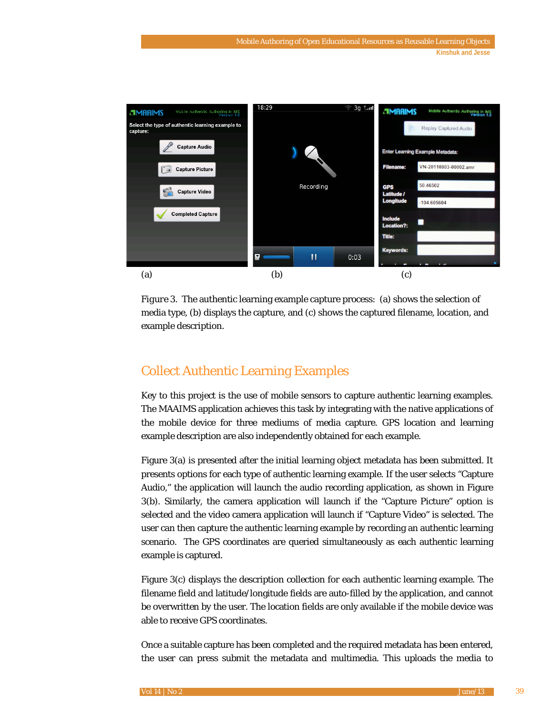

*Figure 3.* The authentic learning example capture process: (a) shows the selection of media type, (b) displays the capture, and (c) shows the captured filename, location, and example description.

# Collect Authentic Learning Examples

Key to this project is the use of mobile sensors to capture authentic learning examples. The MAAIMS application achieves this task by integrating with the native applications of the mobile device for three mediums of media capture. GPS location and learning example description are also independently obtained for each example.

Figure 3(a) is presented after the initial learning object metadata has been submitted. It presents options for each type of authentic learning example. If the user selects "Capture Audio," the application will launch the audio recording application, as shown in Figure 3(b). Similarly, the camera application will launch if the "Capture Picture" option is selected and the video camera application will launch if "Capture Video" is selected. The user can then capture the authentic learning example by recording an authentic learning scenario. The GPS coordinates are queried simultaneously as each authentic learning example is captured.

Figure 3(c) displays the description collection for each authentic learning example. The filename field and latitude/longitude fields are auto-filled by the application, and cannot be overwritten by the user. The location fields are only available if the mobile device was able to receive GPS coordinates.

Once a suitable capture has been completed and the required metadata has been entered, the user can press submit the metadata and multimedia. This uploads the media to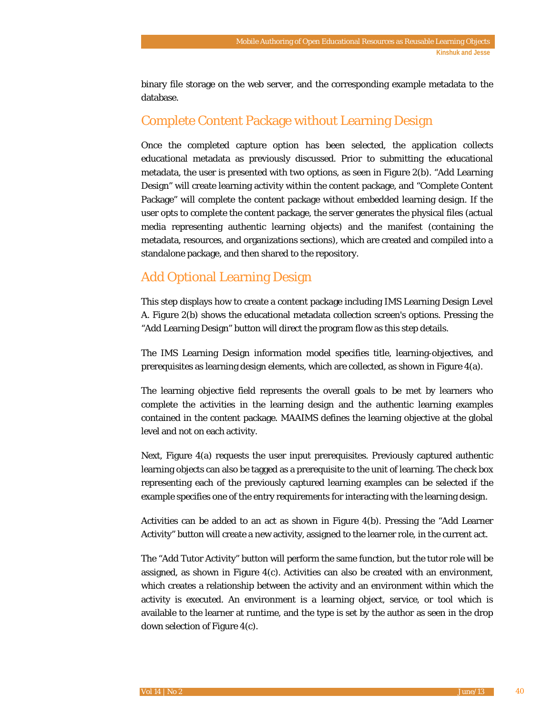binary file storage on the web server, and the corresponding example metadata to the database.

## Complete Content Package without Learning Design

Once the completed capture option has been selected, the application collects educational metadata as previously discussed. Prior to submitting the educational metadata, the user is presented with two options, as seen in Figure 2(b). "Add Learning Design" will create learning activity within the content package, and "Complete Content Package" will complete the content package without embedded learning design. If the user opts to complete the content package, the server generates the physical files (actual media representing authentic learning objects) and the manifest (containing the metadata, resources, and organizations sections), which are created and compiled into a standalone package, and then shared to the repository.

# Add Optional Learning Design

This step displays how to create a content package including IMS Learning Design Level A. Figure 2(b) shows the educational metadata collection screen's options. Pressing the "Add Learning Design" button will direct the program flow as this step details.

The IMS Learning Design information model specifies title, learning-objectives, and prerequisites as learning design elements, which are collected, as shown in Figure 4(a).

The learning objective field represents the overall goals to be met by learners who complete the activities in the learning design and the authentic learning examples contained in the content package. MAAIMS defines the learning objective at the global level and not on each activity.

Next, Figure 4(a) requests the user input prerequisites. Previously captured authentic learning objects can also be tagged as a prerequisite to the unit of learning. The check box representing each of the previously captured learning examples can be selected if the example specifies one of the entry requirements for interacting with the learning design.

Activities can be added to an act as shown in Figure 4(b). Pressing the "Add Learner Activity" button will create a new activity, assigned to the learner role, in the current act.

The "Add Tutor Activity" button will perform the same function, but the tutor role will be assigned, as shown in Figure 4(c). Activities can also be created with an environment, which creates a relationship between the activity and an environment within which the activity is executed. An environment is a learning object, service, or tool which is available to the learner at runtime, and the type is set by the author as seen in the drop down selection of Figure 4(c).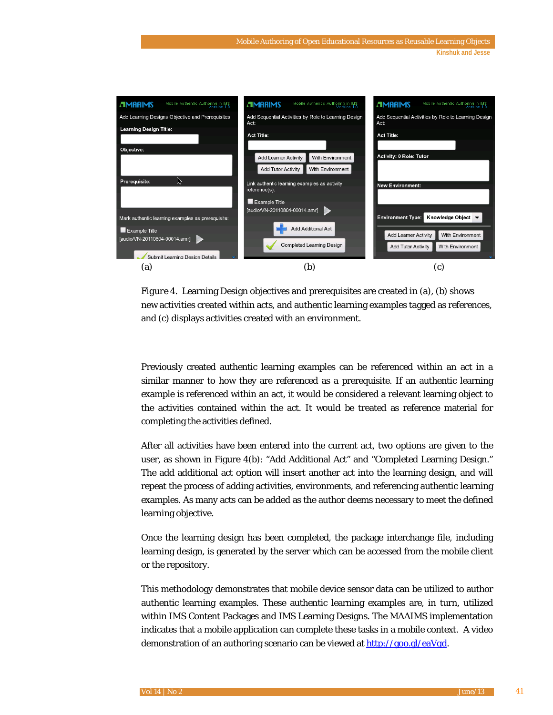

*Figure 4.* Learning Design objectives and prerequisites are created in (a), (b) shows new activities created within acts, and authentic learning examples tagged as references, and (c) displays activities created with an environment.

Previously created authentic learning examples can be referenced within an act in a similar manner to how they are referenced as a prerequisite. If an authentic learning example is referenced within an act, it would be considered a relevant learning object to the activities contained within the act. It would be treated as reference material for completing the activities defined.

After all activities have been entered into the current act, two options are given to the user, as shown in Figure 4(b): "Add Additional Act" and "Completed Learning Design." The add additional act option will insert another act into the learning design, and will repeat the process of adding activities, environments, and referencing authentic learning examples. As many acts can be added as the author deems necessary to meet the defined learning objective.

Once the learning design has been completed, the package interchange file, including learning design, is generated by the server which can be accessed from the mobile client or the repository.

This methodology demonstrates that mobile device sensor data can be utilized to author authentic learning examples. These authentic learning examples are, in turn, utilized within IMS Content Packages and IMS Learning Designs. The MAAIMS implementation indicates that a mobile application can complete these tasks in a mobile context. A video demonstration of an authoring scenario can be viewed a[t http://goo.gl/eaVqd.](http://goo.gl/eaVqd)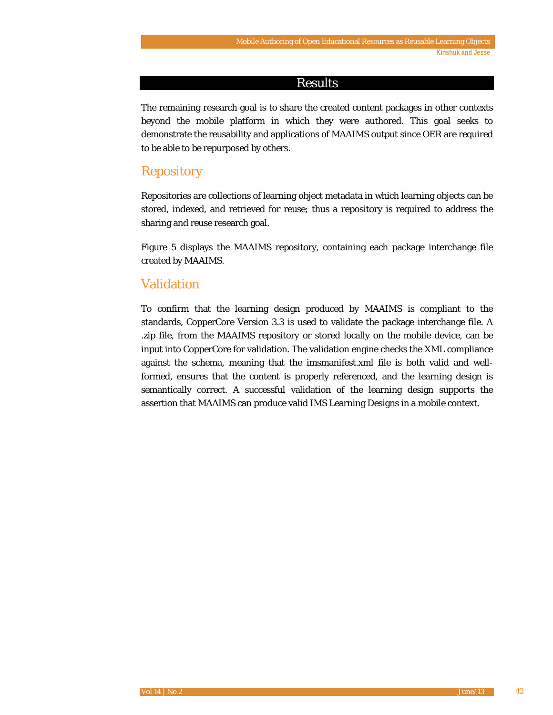### Results

The remaining research goal is to share the created content packages in other contexts beyond the mobile platform in which they were authored. This goal seeks to demonstrate the reusability and applications of MAAIMS output since OER are required to be able to be repurposed by others.

### **Repository**

Repositories are collections of learning object metadata in which learning objects can be stored, indexed, and retrieved for reuse; thus a repository is required to address the sharing and reuse research goal.

Figure 5 displays the MAAIMS repository, containing each package interchange file created by MAAIMS.

#### Validation

To confirm that the learning design produced by MAAIMS is compliant to the standards, CopperCore Version 3.3 is used to validate the package interchange file. A .zip file, from the MAAIMS repository or stored locally on the mobile device, can be input into CopperCore for validation. The validation engine checks the XML compliance against the schema, meaning that the imsmanifest.xml file is both valid and wellformed, ensures that the content is properly referenced, and the learning design is semantically correct. A successful validation of the learning design supports the assertion that MAAIMS can produce valid IMS Learning Designs in a mobile context.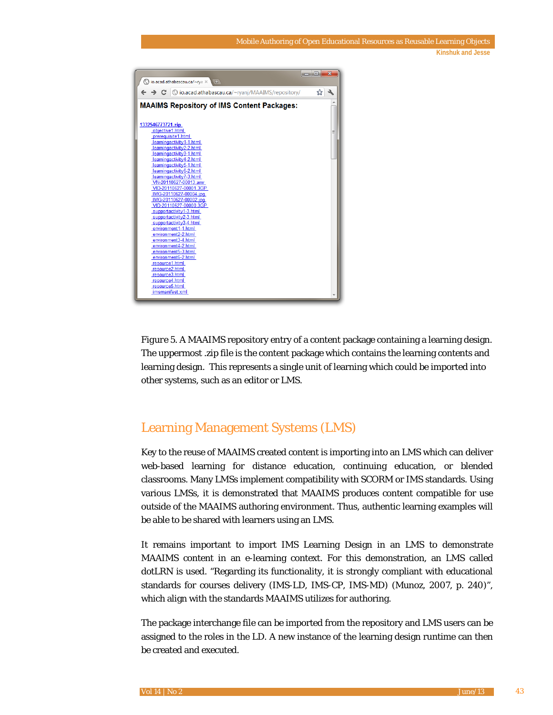|                                                                                         | الماردة<br>x |
|-----------------------------------------------------------------------------------------|--------------|
| $\bigcirc$ io.acad.athabascau.ca/~rya $\times$<br>$\left( 4\right)$                     |              |
| $\leftarrow \rightarrow \mathbf{C}$   © io.acad.athabascau.ca/~ryanj/MAAIMS/repository/ | ☆            |
|                                                                                         |              |
| <b>MAAIMS Repository of IMS Content Packages:</b>                                       |              |
|                                                                                         |              |
|                                                                                         |              |
| 1332546773721.zip                                                                       |              |
| objective1.html                                                                         | Ξ            |
| prerequisite1.html                                                                      |              |
| learningactivity1-1.html                                                                |              |
| learningactivity2-2.html                                                                |              |
| learningactivity3-1.html                                                                |              |
| learningactivity4-2.html<br>learningactivity5-1.html                                    |              |
| learningactivity6-2.html                                                                |              |
| learningactivity7-3.html                                                                |              |
| VN-20110627-00013.amr                                                                   |              |
| VID-20110627-00001.3GP                                                                  |              |
| IMG-20110627-00004.jpg                                                                  |              |
| IMG-20110627-00002.ipg                                                                  |              |
| VID-20110627-00000.3GP                                                                  |              |
| supportactivity1-3.html                                                                 |              |
| supportactivity2-3.html                                                                 |              |
| supportactivity3-4.html                                                                 |              |
| environment1-1.html                                                                     |              |
| environment2-2.html<br>environment3-4.html                                              |              |
| environment4-2.html                                                                     |              |
| environment5-3.html                                                                     |              |
| environment6-2.html                                                                     |              |
| resource1.html                                                                          |              |
| resource2.html                                                                          |              |
| resource3.html                                                                          |              |
| resource4.html                                                                          |              |
| resource5.html                                                                          |              |
| imsmanifest.xml                                                                         |              |
|                                                                                         |              |

*Figure 5*. A MAAIMS repository entry of a content package containing a learning design. The uppermost .zip file is the content package which contains the learning contents and learning design. This represents a single unit of learning which could be imported into other systems, such as an editor or LMS.

# Learning Management Systems (LMS)

Key to the reuse of MAAIMS created content is importing into an LMS which can deliver web-based learning for distance education, continuing education, or blended classrooms. Many LMSs implement compatibility with SCORM or IMS standards. Using various LMSs, it is demonstrated that MAAIMS produces content compatible for use outside of the MAAIMS authoring environment. Thus, authentic learning examples will be able to be shared with learners using an LMS.

It remains important to import IMS Learning Design in an LMS to demonstrate MAAIMS content in an e-learning context. For this demonstration, an LMS called dotLRN is used. "Regarding its functionality, it is strongly compliant with educational standards for courses delivery (IMS-LD, IMS-CP, IMS-MD) (Munoz, 2007, p. 240)", which align with the standards MAAIMS utilizes for authoring.

The package interchange file can be imported from the repository and LMS users can be assigned to the roles in the LD. A new instance of the learning design runtime can then be created and executed.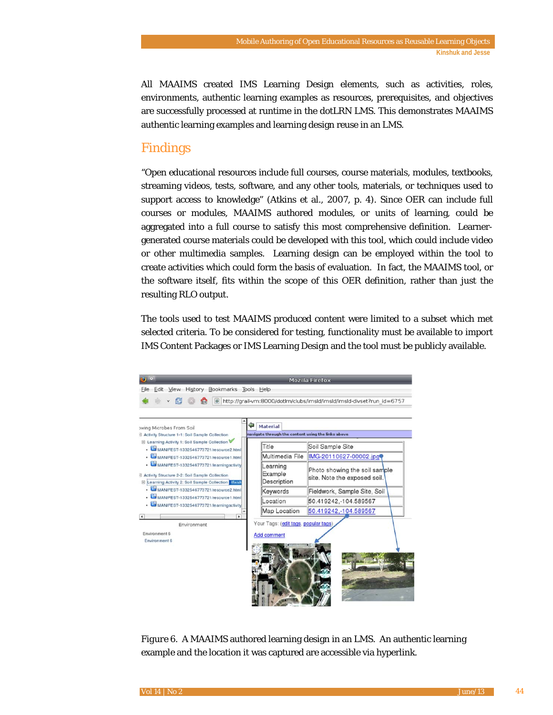All MAAIMS created IMS Learning Design elements, such as activities, roles, environments, authentic learning examples as resources, prerequisites, and objectives are successfully processed at runtime in the dotLRN LMS. This demonstrates MAAIMS authentic learning examples and learning design reuse in an LMS.

## Findings

"Open educational resources include full courses, course materials, modules, textbooks, streaming videos, tests, software, and any other tools, materials, or techniques used to support access to knowledge" (Atkins et al., 2007, p. 4). Since OER can include full courses or modules, MAAIMS authored modules, or units of learning, could be aggregated into a full course to satisfy this most comprehensive definition. Learnergenerated course materials could be developed with this tool, which could include video or other multimedia samples. Learning design can be employed within the tool to create activities which could form the basis of evaluation. In fact, the MAAIMS tool, or the software itself, fits within the scope of this OER definition, rather than just the resulting RLO output.

The tools used to test MAAIMS produced content were limited to a subset which met selected criteria. To be considered for testing, functionality must be available to import IMS Content Packages or IMS Learning Design and the tool must be publicly available.



*Figure 6*. A MAAIMS authored learning design in an LMS. An authentic learning example and the location it was captured are accessible via hyperlink.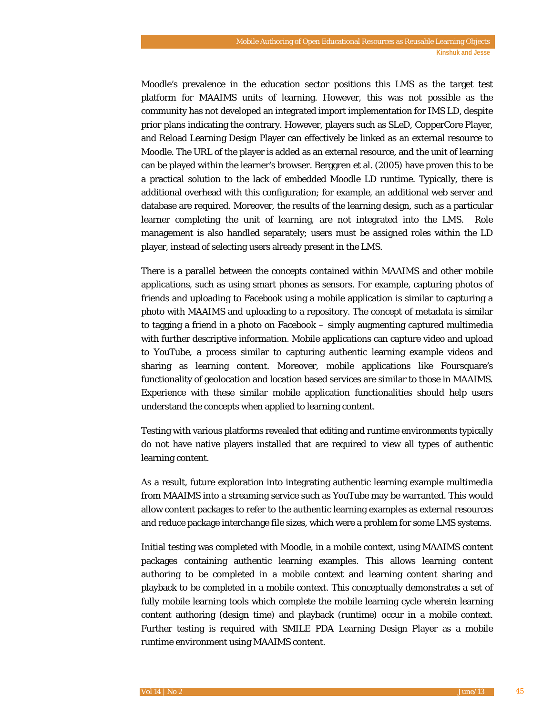Moodle's prevalence in the education sector positions this LMS as the target test platform for MAAIMS units of learning. However, this was not possible as the community has not developed an integrated import implementation for IMS LD, despite prior plans indicating the contrary. However, players such as SLeD, CopperCore Player, and Reload Learning Design Player can effectively be linked as an external resource to Moodle. The URL of the player is added as an external resource, and the unit of learning can be played within the learner's browser. Berggren et al. (2005) have proven this to be a practical solution to the lack of embedded Moodle LD runtime. Typically, there is additional overhead with this configuration; for example, an additional web server and database are required. Moreover, the results of the learning design, such as a particular learner completing the unit of learning, are not integrated into the LMS. Role management is also handled separately; users must be assigned roles within the LD player, instead of selecting users already present in the LMS.

There is a parallel between the concepts contained within MAAIMS and other mobile applications, such as using smart phones as sensors. For example, capturing photos of friends and uploading to Facebook using a mobile application is similar to capturing a photo with MAAIMS and uploading to a repository. The concept of metadata is similar to tagging a friend in a photo on Facebook – simply augmenting captured multimedia with further descriptive information. Mobile applications can capture video and upload to YouTube, a process similar to capturing authentic learning example videos and sharing as learning content. Moreover, mobile applications like Foursquare's functionality of geolocation and location based services are similar to those in MAAIMS. Experience with these similar mobile application functionalities should help users understand the concepts when applied to learning content.

Testing with various platforms revealed that editing and runtime environments typically do not have native players installed that are required to view all types of authentic learning content.

As a result, future exploration into integrating authentic learning example multimedia from MAAIMS into a streaming service such as YouTube may be warranted. This would allow content packages to refer to the authentic learning examples as external resources and reduce package interchange file sizes, which were a problem for some LMS systems.

Initial testing was completed with Moodle, in a mobile context, using MAAIMS content packages containing authentic learning examples. This allows learning content authoring to be completed in a mobile context and learning content sharing *and* playback to be completed in a mobile context. This conceptually demonstrates a set of fully mobile learning tools which complete the mobile learning cycle wherein learning content authoring (design time) and playback (runtime) occur in a mobile context. Further testing is required with SMILE PDA Learning Design Player as a mobile runtime environment using MAAIMS content.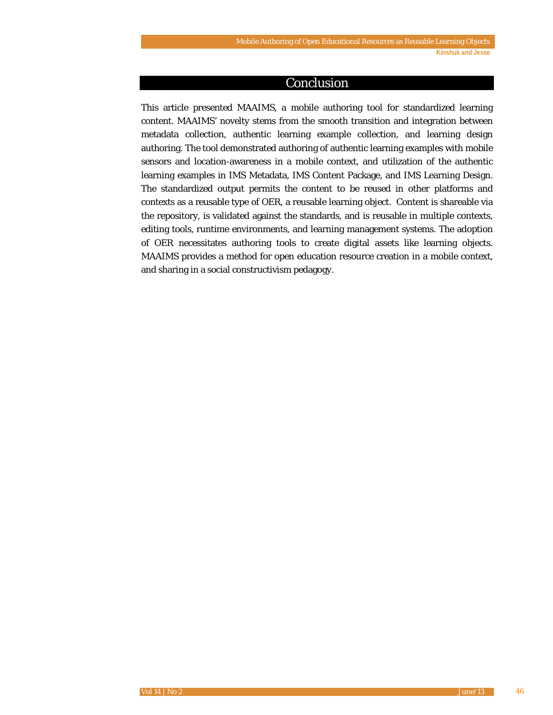#### Conclusion

This article presented MAAIMS, a mobile authoring tool for standardized learning content. MAAIMS' novelty stems from the smooth transition and integration between metadata collection, authentic learning example collection, and learning design authoring. The tool demonstrated authoring of authentic learning examples with mobile sensors and location-awareness in a mobile context, and utilization of the authentic learning examples in IMS Metadata, IMS Content Package, and IMS Learning Design. The standardized output permits the content to be reused in other platforms and contexts as a reusable type of OER, a reusable learning object. Content is shareable via the repository, is validated against the standards, and is reusable in multiple contexts, editing tools, runtime environments, and learning management systems. The adoption of OER necessitates authoring tools to create digital assets like learning objects. MAAIMS provides a method for open education resource creation in a mobile context, and sharing in a social constructivism pedagogy.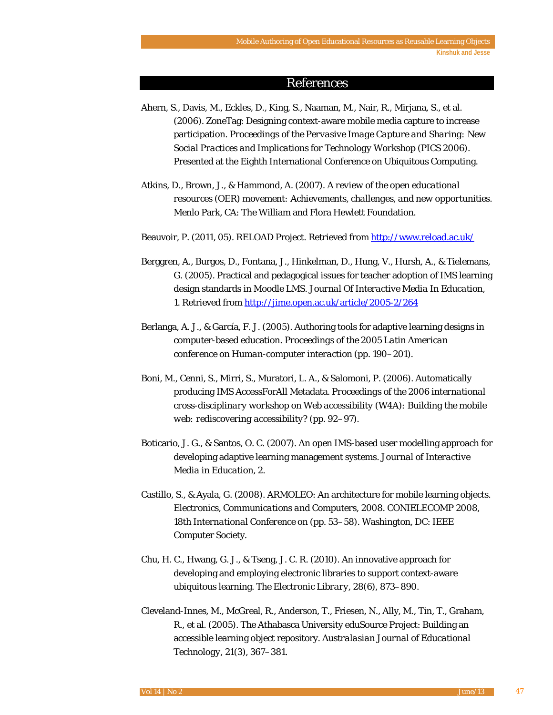#### References

- Ahern, S., Davis, M., Eckles, D., King, S., Naaman, M., Nair, R., Mirjana, S., et al. (2006). ZoneTag: Designing context-aware mobile media capture to increase participation. *Proceedings of the Pervasive Image Capture and Sharing: New Social Practices and Implications for Technology Workshop (PICS 2006)*. Presented at the Eighth International Conference on Ubiquitous Computing.
- Atkins, D., Brown, J., & Hammond, A. (2007). *A review of the open educational resources (OER) movement: Achievements, challenges, and new opportunities*. Menlo Park, CA: The William and Flora Hewlett Foundation.

Beauvoir, P. (2011, 05). RELOAD Project. Retrieved fro[m http://www.reload.ac.uk/](http://www.reload.ac.uk/)

- Berggren, A., Burgos, D., Fontana, J., Hinkelman, D., Hung, V., Hursh, A., & Tielemans, G. (2005). Practical and pedagogical issues for teacher adoption of IMS learning design standards in Moodle LMS. *Journal Of Interactive Media In Education*, *1*. Retrieved fro[m http://jime.open.ac.uk/article/2005-2/264](http://jime.open.ac.uk/article/2005-2/264)
- Berlanga, A. J., & García, F. J. (2005). Authoring tools for adaptive learning designs in computer-based education. *Proceedings of the 2005 Latin American conference on Human-computer interaction* (pp. 190–201).
- Boni, M., Cenni, S., Mirri, S., Muratori, L. A., & Salomoni, P. (2006). Automatically producing IMS AccessForAll Metadata. *Proceedings of the 2006 international cross-disciplinary workshop on Web accessibility (W4A): Building the mobile web: rediscovering accessibility?* (pp. 92–97).
- Boticario, J. G., & Santos, O. C. (2007). An open IMS-based user modelling approach for developing adaptive learning management systems. *Journal of Interactive Media in Education*, *2*.
- Castillo, S., & Ayala, G. (2008). ARMOLEO: An architecture for mobile learning objects. *Electronics, Communications and Computers, 2008. CONIELECOMP 2008, 18th International Conference on* (pp. 53–58). Washington, DC: IEEE Computer Society.
- Chu, H. C., Hwang, G. J., & Tseng, J. C. R. (2010). An innovative approach for developing and employing electronic libraries to support context-aware ubiquitous learning. *The Electronic Library*, *28*(6), 873–890.
- Cleveland-Innes, M., McGreal, R., Anderson, T., Friesen, N., Ally, M., Tin, T., Graham, R., et al. (2005). The Athabasca University eduSource Project: Building an accessible learning object repository. *Australasian Journal of Educational Technology*, *21*(3), 367–381.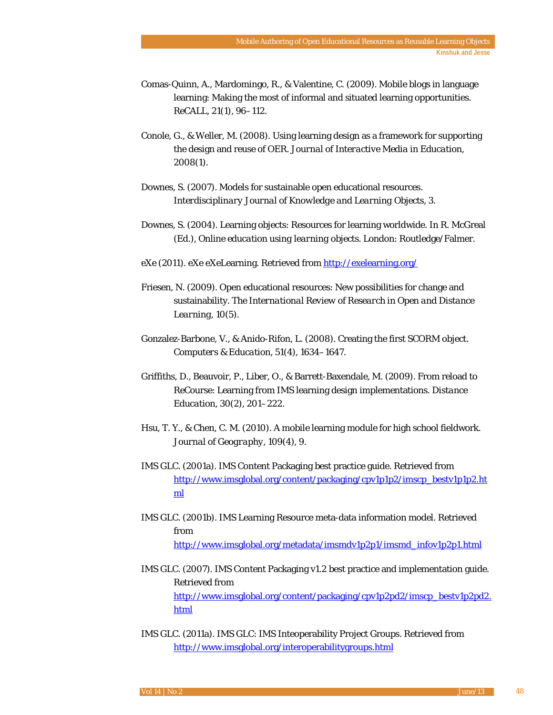- Comas-Quinn, A., Mardomingo, R., & Valentine, C. (2009). Mobile blogs in language learning: Making the most of informal and situated learning opportunities. *ReCALL*, *21*(1), 96–112.
- Conole, G., & Weller, M. (2008). Using learning design as a framework for supporting the design and reuse of OER. *Journal of Interactive Media in Education*, *2008*(1).
- Downes, S. (2007). Models for sustainable open educational resources. *Interdisciplinary Journal of Knowledge and Learning Objects*, *3*.
- Downes, S. (2004). Learning objects: Resources for learning worldwide. In R. McGreal (Ed.), *Online education using learning objects*. London: Routledge/Falmer.
- eXe (2011). eXe eXeLearning. Retrieved from<http://exelearning.org/>
- Friesen, N. (2009). Open educational resources: New possibilities for change and sustainability. *The International Review of Research in Open and Distance Learning*, *10*(5).
- Gonzalez-Barbone, V., & Anido-Rifon, L. (2008). Creating the first SCORM object. *Computers & Education*, *51*(4), 1634–1647.
- Griffiths, D., Beauvoir, P., Liber, O., & Barrett-Baxendale, M. (2009). From reload to ReCourse: Learning from IMS learning design implementations. *Distance Education*, *30*(2), 201–222.
- Hsu, T. Y., & Chen, C. M. (2010). A mobile learning module for high school fieldwork. *Journal of Geography*, *109*(4), 9.
- IMS GLC. (2001a). IMS Content Packaging best practice guide. Retrieved from [http://www.imsglobal.org/content/packaging/cpv1p1p2/imscp\\_bestv1p1p2.ht](http://www.imsglobal.org/content/packaging/cpv1p1p2/imscp_bestv1p1p2.html) [ml](http://www.imsglobal.org/content/packaging/cpv1p1p2/imscp_bestv1p1p2.html)
- IMS GLC. (2001b). IMS Learning Resource meta-data information model. Retrieved from [http://www.imsglobal.org/metadata/imsmdv1p2p1/imsmd\\_infov1p2p1.html](http://www.imsglobal.org/metadata/imsmdv1p2p1/imsmd_infov1p2p1.html)
- IMS GLC. (2007). IMS Content Packaging v1.2 best practice and implementation guide. Retrieved from [http://www.imsglobal.org/content/packaging/cpv1p2pd2/imscp\\_bestv1p2pd2.](http://www.imsglobal.org/content/packaging/cpv1p2pd2/imscp_bestv1p2pd2.html) [html](http://www.imsglobal.org/content/packaging/cpv1p2pd2/imscp_bestv1p2pd2.html)
- IMS GLC. (2011a). IMS GLC: IMS Inteoperability Project Groups. Retrieved from <http://www.imsglobal.org/interoperabilitygroups.html>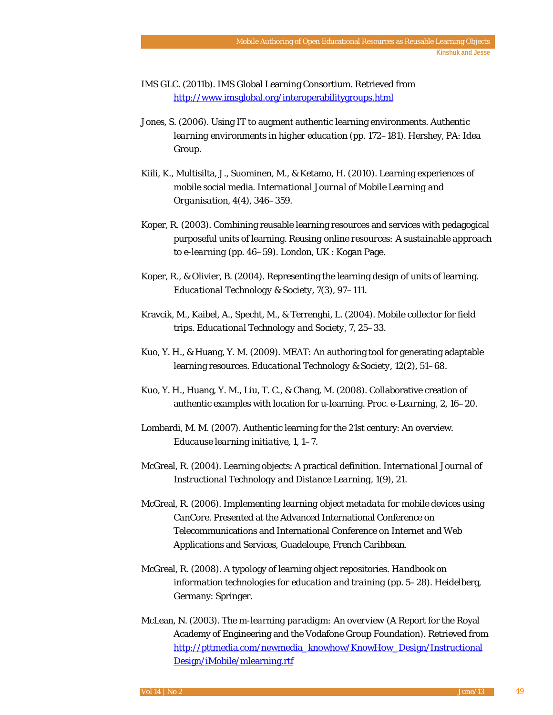IMS GLC. (2011b). IMS Global Learning Consortium. Retrieved from <http://www.imsglobal.org/interoperabilitygroups.html>

- Jones, S. (2006). Using IT to augment authentic learning environments. *Authentic learning environments in higher education* (pp. 172–181). Hershey, PA: Idea Group.
- Kiili, K., Multisilta, J., Suominen, M., & Ketamo, H. (2010). Learning experiences of mobile social media. *International Journal of Mobile Learning and Organisation*, *4*(4), 346–359.
- Koper, R. (2003). Combining reusable learning resources and services with pedagogical purposeful units of learning. *Reusing online resources: A sustainable approach to e-learning* (pp. 46–59). London, UK : Kogan Page.
- Koper, R., & Olivier, B. (2004). Representing the learning design of units of learning. *Educational Technology & Society*, *7*(3), 97–111.
- Kravcik, M., Kaibel, A., Specht, M., & Terrenghi, L. (2004). Mobile collector for field trips. *Educational Technology and Society*, *7*, 25–33.
- Kuo, Y. H., & Huang, Y. M. (2009). MEAT: An authoring tool for generating adaptable learning resources. *Educational Technology & Society*, *12*(2), 51–68.
- Kuo, Y. H., Huang, Y. M., Liu, T. C., & Chang, M. (2008). Collaborative creation of authentic examples with location for u-learning. *Proc. e-Learning*, *2*, 16–20.
- Lombardi, M. M. (2007). Authentic learning for the 21st century: An overview. *Educause learning initiative*, *1*, 1–7.
- McGreal, R. (2004). Learning objects: A practical definition. *International Journal of Instructional Technology and Distance Learning*, *1*(9), 21.
- McGreal, R. (2006). *Implementing learning object metadata for mobile devices using CanCore.* Presented at the Advanced International Conference on Telecommunications and International Conference on Internet and Web Applications and Services, Guadeloupe, French Caribbean.
- McGreal, R. (2008). A typology of learning object repositories. *Handbook on information technologies for education and training* (pp. 5–28). Heidelberg, Germany: Springer.
- McLean, N. (2003). *The m-learning paradigm: An overview* (A Report for the Royal Academy of Engineering and the Vodafone Group Foundation). Retrieved from [http://pttmedia.com/newmedia\\_knowhow/KnowHow\\_Design/Instructional](http://pttmedia.com/newmedia_knowhow/KnowHow_Design/Instructional%20Design/iMobile/mlearning.rtf)  [Design/iMobile/mlearning.rtf](http://pttmedia.com/newmedia_knowhow/KnowHow_Design/Instructional%20Design/iMobile/mlearning.rtf)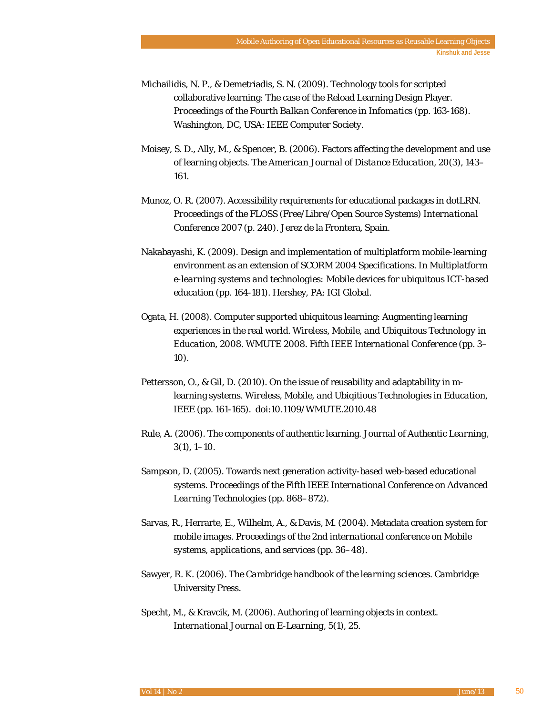- Michailidis, N. P., & Demetriadis, S. N. (2009). Technology tools for scripted collaborative learning: The case of the Reload Learning Design Player. *Proceedings of the Fourth Balkan Conference in Infomatics* (pp. 163-168). Washington, DC, USA: IEEE Computer Society.
- Moisey, S. D., Ally, M., & Spencer, B. (2006). Factors affecting the development and use of learning objects. *The American Journal of Distance Education*, *20*(3), 143– 161.
- Munoz, O. R. (2007). Accessibility requirements for educational packages in dotLRN. *Proceedings of the FLOSS (Free/Libre/Open Source Systems) International Conference 2007* (p. 240). Jerez de la Frontera, Spain.
- Nakabayashi, K. (2009). Design and implementation of multiplatform mobile-learning environment as an extension of SCORM 2004 Specifications. In *Multiplatform e-learning systems and technologies: Mobile devices for ubiquitous ICT-based education* (pp. 164-181). Hershey, PA: IGI Global.
- Ogata, H. (2008). Computer supported ubiquitous learning: Augmenting learning experiences in the real world. *Wireless, Mobile, and Ubiquitous Technology in Education, 2008. WMUTE 2008. Fifth IEEE International Conference* (pp. 3– 10).
- Pettersson, O., & Gil, D. (2010). On the issue of reusability and adaptability in mlearning systems. *Wireless, Mobile, and Ubiqitious Technologies in Education*, IEEE (pp. 161-165). doi:10.1109/WMUTE.2010.48
- Rule, A. (2006). The components of authentic learning. *Journal of Authentic Learning*, *3*(1), 1–10.
- Sampson, D. (2005). Towards next generation activity-based web-based educational systems. *Proceedings of the Fifth IEEE International Conference on Advanced Learning Technologies* (pp. 868–872).
- Sarvas, R., Herrarte, E., Wilhelm, A., & Davis, M. (2004). Metadata creation system for mobile images. *Proceedings of the 2nd international conference on Mobile systems, applications, and services* (pp. 36–48).
- Sawyer, R. K. (2006). *The Cambridge handbook of the learning sciences*. Cambridge University Press.
- Specht, M., & Kravcik, M. (2006). Authoring of learning objects in context. *International Journal on E-Learning*, *5*(1), 25.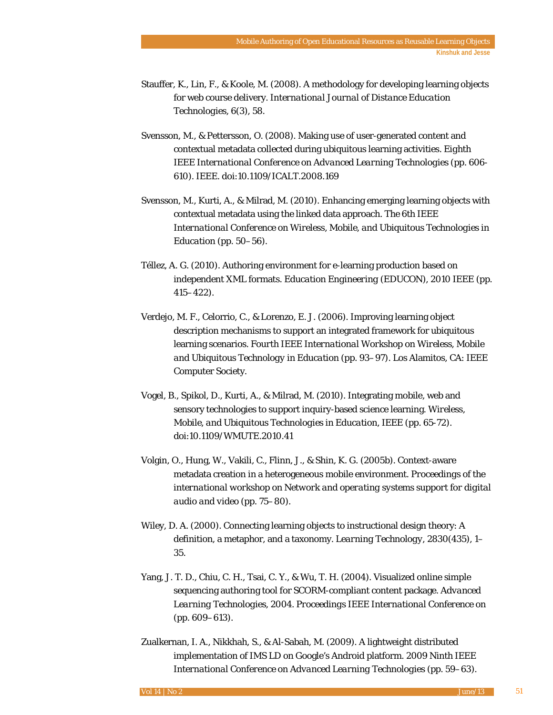- Stauffer, K., Lin, F., & Koole, M. (2008). A methodology for developing learning objects for web course delivery. *International Journal of Distance Education Technologies*, *6*(3), 58.
- Svensson, M., & Pettersson, O. (2008). Making use of user-generated content and contextual metadata collected during ubiquitous learning activities. *Eighth IEEE International Conference on Advanced Learning Technologies* (pp. 606- 610). IEEE. doi:10.1109/ICALT.2008.169
- Svensson, M., Kurti, A., & Milrad, M. (2010). Enhancing emerging learning objects with contextual metadata using the linked data approach. *The 6th IEEE International Conference on Wireless, Mobile, and Ubiquitous Technologies in Education* (pp. 50–56).
- Téllez, A. G. (2010). Authoring environment for e-learning production based on independent XML formats. *Education Engineering (EDUCON), 2010 IEEE* (pp. 415–422).
- Verdejo, M. F., Celorrio, C., & Lorenzo, E. J. (2006). Improving learning object description mechanisms to support an integrated framework for ubiquitous learning scenarios. *Fourth IEEE International Workshop on Wireless, Mobile and Ubiquitous Technology in Education* (pp. 93–97). Los Alamitos, CA: IEEE Computer Society.
- Vogel, B., Spikol, D., Kurti, A., & Milrad, M. (2010). Integrating mobile, web and sensory technologies to support inquiry-based science learning. *Wireless, Mobile, and Ubiquitous Technologies in Education*, *IEEE* (pp. 65-72). doi:10.1109/WMUTE.2010.41
- Volgin, O., Hung, W., Vakili, C., Flinn, J., & Shin, K. G. (2005b). Context-aware metadata creation in a heterogeneous mobile environment. *Proceedings of the international workshop on Network and operating systems support for digital audio and video* (pp. 75–80).
- Wiley, D. A. (2000). Connecting learning objects to instructional design theory: A definition, a metaphor, and a taxonomy. *Learning Technology*, *2830*(435), 1– 35.
- Yang, J. T. D., Chiu, C. H., Tsai, C. Y., & Wu, T. H. (2004). Visualized online simple sequencing authoring tool for SCORM-compliant content package. *Advanced Learning Technologies, 2004. Proceedings IEEE International Conference on* (pp. 609–613).
- Zualkernan, I. A., Nikkhah, S., & Al-Sabah, M. (2009). A lightweight distributed implementation of IMS LD on Google's Android platform. *2009 Ninth IEEE International Conference on Advanced Learning Technologies* (pp. 59–63).